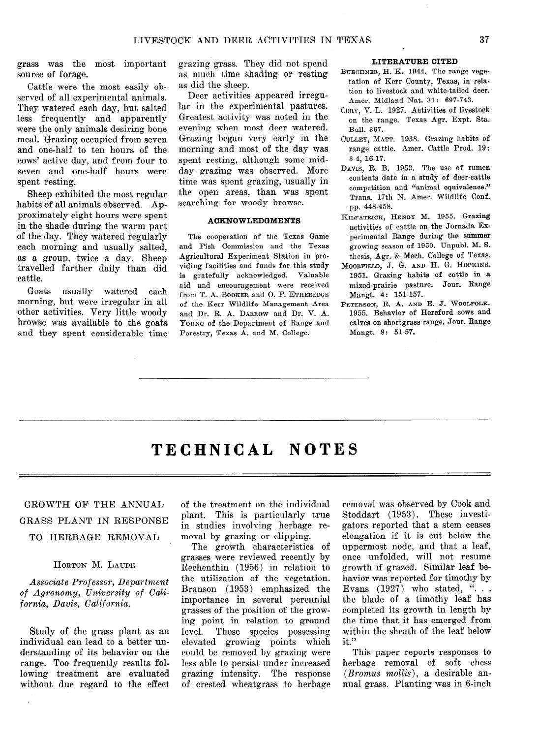# TECHNICAL NOTES

GROWTH OF THE ANNIIAL GRASS PLANT IN RESPONSE TO HERBAGE REMOVAL

HORTON M. LAUDE

*Associate Professor, Department of Agronomy, University of Cali* $fornia, Davis, California.$ 

Study of the grass plant as an individual can lead to a better understanding of its behavior on the range. Too frequently results following treatment are evaluated without due regard to the effect of the treatment on the individual plant. This is particularly true in studies involving herbage removal by grazing or clipping.

The growth characteristics of grasses were reviewed recently by Rechenthin (1956) in relation to the utilization of the vegetation. Branson (1953) emphasized the importance in several perennial grasses of the position of the growing point in relation to ground level. Those species possessing elevated growing points which could be removed by grazing were less able to persist under increased grazing intensity. The response of crested wheatgrass to herbage removal was observed by Cook and Stoddart (1953). These investigators reported that a stem ceases elongation if it is cut below the uppermost node, and that a leaf, once unfolded, will not resume growth if grazed. Similar leaf behavior was reported for timothy by Evans  $(1927)$  who stated, "... the blade of a timothy leaf has completed its growth in length by the time that it has emerged from within the sheath of the leaf below it."

This paper reports responses to herbage removal of soft chess *(Bromus mollis), a* desirable annual grass. Planting was in 6-inch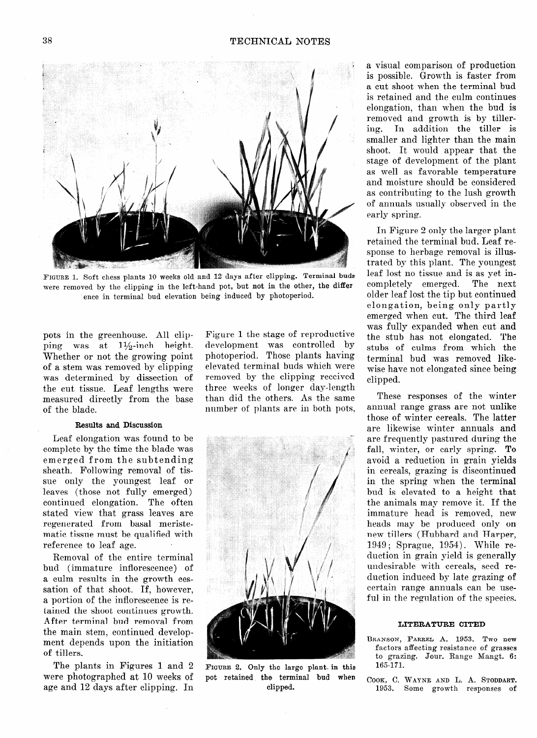

FIGURE 1. Soft chess plants 10 weeks old and 12 days after clipping. Terminal buds were removed by the clipping in the left-hand pot, but not in the other, the differ ence in terminal bud elevation being induced by photoperiod.

pots in the greenhouse. All clipping was at  $1\frac{1}{2}$ -inch height. Whether or not the growing point of a stem was removed by clipping was determined by dissection of the cut tissue. Leaf lengths were measured directly from the base of the blade.

#### Results **and** Discussion

Leaf elongation was found to be complete by the time the blade was emerged from the subtending sheath. Following removal of tissue only the youngest leaf or leaves (those not fully emerged) continued elongation. The often stated view that grass leaves are regenerated from basal meristematic tissue must be qualified with reference to leaf age.

Removal of the entire terminal bud (immature inflorescence) of a culm results in the growth cessation of that shoot. If, however, a portion of the inflorescence is retained the shoot continues growth. After terminal bud removal from the main stem, continued development depends upon the initiation of tillers.

The plants in Figures 1 and 2 were photographed at 10 weeks of age and 12 days after clipping. In

Figure 1 the stage of reproductive development was controlled by photoperiod. Those plants having elevated terminal buds which were removed by the clipping received three weeks of longer day-length than did the others. As the same number of plants are in both pots,



FIGURE 2. Only the large plant. in this pot retained the terminal bud when clipped.

a visual comparison of production is possible. Growth is faster from a cut shoot when the terminal bud is retained and the culm continues elongation, than when the bud is removed and growth is by tillering. In addition the tiller is smaller and lighter than the main shoot. It would appear that the stage of development of the plant as well as favorable temperature and moisture should be considered as contributing to the lush growth of annuals usually observed in the early spring.

In Figure 2 only the larger plant retained the terminal bud. Leaf response to herbage removal is illustrated by this plant. The youngest leaf lost no tissue and is as yet incompletely emerged. The next older leaf lost the tip but continued elongation, being only partly emerged when cut. The third leaf was fully expanded when cut and the stub has not elongated. The stubs of culms from which the terminal bud was removed likewise have not elongated since being clipped.

These responses of the winter annual range grass are not unlike those of winter cereals. The latter are likewise winter annuals and are frequently pastured during the fall, winter, or early spring. To avoid a reduction in grain yields in cereals, grazing is discontinued in the spring when the terminal bud is elevated to a height that the animals may remove it. If the immature head is removed, new heads may be produced only on new tillers (Hubbard and Harper, 1949 ; Sprague, 1954). While reduction in grain yield is generally undesirable with cereals, seed reduction induced by late grazing of certain range annuals can be useful in the regulation of the species.

#### LITERATURE CITED

- **BRANSON, FARREL** A. 1953. Two new factors affecting resistance of grasses to grazing. Jour. Range Mangt. 6: 165171.
- **COOK, C. WAYNE AND L.** A. **STODDART. 1953.** Some growth responses of